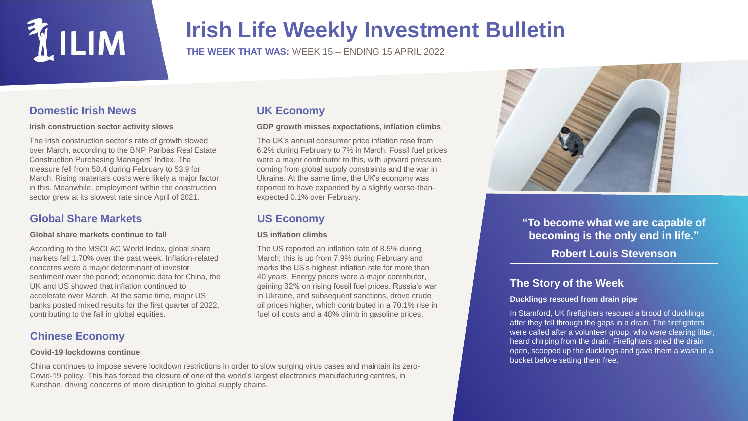

## **Irish Life Weekly Investment Bulletin**

**THE WEEK THAT WAS:** WEEK 15 – ENDING 15 APRIL 2022

**GDP growth misses expectations, inflation climbs** The UK's annual consumer price inflation rose from 6.2% during February to 7% in March. Fossil fuel prices were a major contributor to this, with upward pressure coming from global supply constraints and the war in Ukraine. At the same time, the UK's economy was reported to have expanded by a slightly worse-than-

The US reported an inflation rate of 8.5% during March; this is up from 7.9% during February and marks the US's highest inflation rate for more than 40 years. Energy prices were a major contributor, gaining 32% on rising fossil fuel prices. Russia's war in Ukraine, and subsequent sanctions, drove crude oil prices higher, which contributed in a 70.1% rise in fuel oil costs and a 48% climb in gasoline prices.

**UK Economy**

**US Economy**

**US inflation climbs**

expected 0.1% over February.

## **Domestic Irish News**

#### **Irish construction sector activity slows**

The Irish construction sector's rate of growth slowed over March, according to the BNP Paribas Real Estate Construction Purchasing Managers' Index. The measure fell from 58.4 during February to 53.9 for March. Rising materials costs were likely a major factor in this. Meanwhile, employment within the construction sector grew at its slowest rate since April of 2021.

## **Global Share Markets**

#### **Global share markets continue to fall**

According to the MSCI AC World Index, global share markets fell 1.70% over the past week. Inflation-related concerns were a major determinant of investor sentiment over the period; economic data for China, the UK and US showed that inflation continued to accelerate over March. At the same time, major US banks posted mixed results for the first quarter of 2022, contributing to the fall in global equities.

## **Chinese Economy**

#### **Covid-19 lockdowns continue**

#### China continues to impose severe lockdown restrictions in order to slow surging virus cases and maintain its zero-Covid-19 policy. This has forced the closure of one of the world's largest electronics manufacturing centres, in Kunshan, driving concerns of more disruption to global supply chains.



**"To become what we are capable of becoming is the only end in life." Robert Louis Stevenson**

## **The Story of the Week**

#### **Ducklings rescued from drain pipe**

In Stamford, UK firefighters rescued a brood of ducklings after they fell through the gaps in a drain. The firefighters were called after a volunteer group, who were clearing litter, heard chirping from the drain. Firefighters pried the drain open, scooped up the ducklings and gave them a wash in a bucket before setting them free.